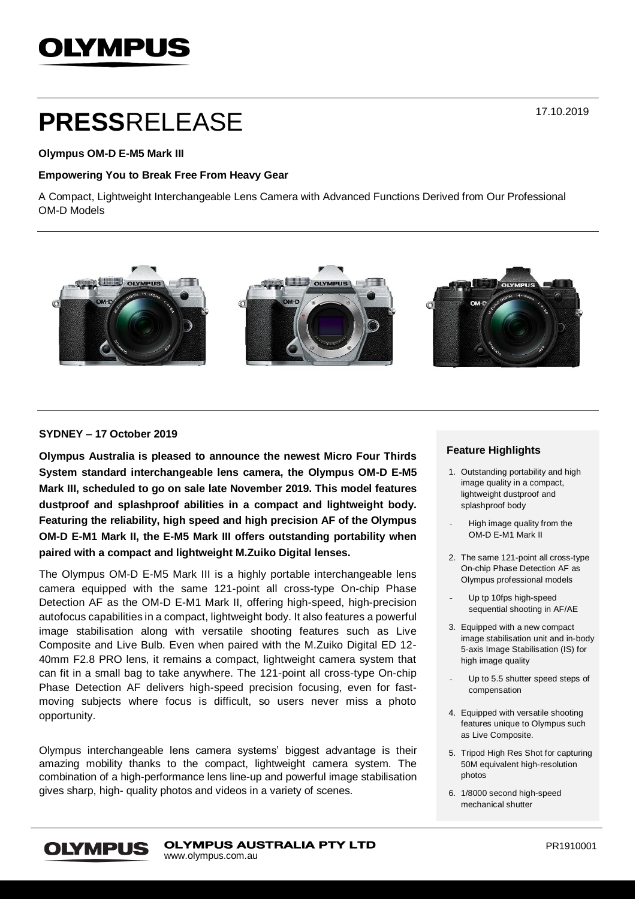# **OLYMPUS**

# **PRESS**RELEASE

### **Olympus OM-D E-M5 Mark III**

### **Empowering You to Break Free From Heavy Gear**

A Compact, Lightweight Interchangeable Lens Camera with Advanced Functions Derived from Our Professional OM-D Models



# **SYDNEY – 17 October 2019**

**Olympus Australia is pleased to announce the newest Micro Four Thirds System standard interchangeable lens camera, the Olympus OM-D E-M5 Mark III, scheduled to go on sale late November 2019. This model features dustproof and splashproof abilities in a compact and lightweight body. Featuring the reliability, high speed and high precision AF of the Olympus OM-D E-M1 Mark II, the E-M5 Mark III offers outstanding portability when paired with a compact and lightweight M.Zuiko Digital lenses.**

The Olympus OM-D E-M5 Mark III is a highly portable interchangeable lens camera equipped with the same 121-point all cross-type On-chip Phase Detection AF as the OM-D E-M1 Mark II, offering high-speed, high-precision autofocus capabilities in a compact, lightweight body. It also features a powerful image stabilisation along with versatile shooting features such as Live Composite and Live Bulb. Even when paired with the M.Zuiko Digital ED 12- 40mm F2.8 PRO lens, it remains a compact, lightweight camera system that can fit in a small bag to take anywhere. The 121-point all cross-type On-chip Phase Detection AF delivers high-speed precision focusing, even for fastmoving subjects where focus is difficult, so users never miss a photo opportunity.

Olympus interchangeable lens camera systems' biggest advantage is their amazing mobility thanks to the compact, lightweight camera system. The combination of a high-performance lens line-up and powerful image stabilisation gives sharp, high- quality photos and videos in a variety of scenes.

### **Feature Highlights**

- 1. Outstanding portability and high image quality in a compact, lightweight dustproof and splashproof body
- High image quality from the OM-D E-M1 Mark II
- 2. The same 121-point all cross-type On-chip Phase Detection AF as Olympus professional models

Up tp 10fps high-speed sequential shooting in AF/AE

- 3. Equipped with a new compact image stabilisation unit and in-body 5-axis Image Stabilisation (IS) for high image quality
- Up to 5.5 shutter speed steps of compensation
- 4. Equipped with versatile shooting features unique to Olympus such as Live Composite.
- 5. Tripod High Res Shot for capturing 50M equivalent high-resolution photos
- 6. 1/8000 second high-speed mechanical shutter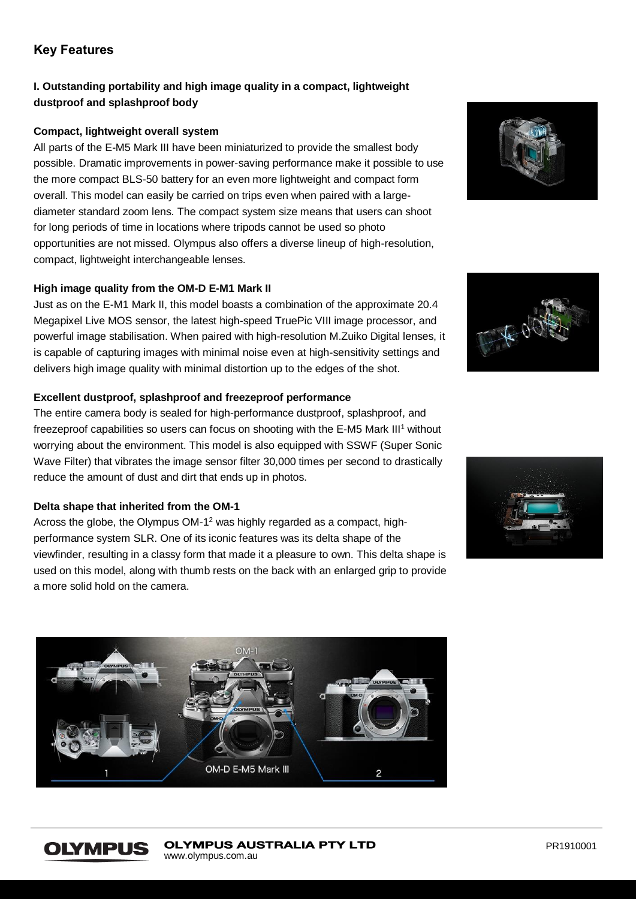# **Key Features**

# **I. Outstanding portability and high image quality in a compact, lightweight dustproof and splashproof body**

# **Compact, lightweight overall system**

All parts of the E-M5 Mark III have been miniaturized to provide the smallest body possible. Dramatic improvements in power-saving performance make it possible to use the more compact BLS-50 battery for an even more lightweight and compact form overall. This model can easily be carried on trips even when paired with a largediameter standard zoom lens. The compact system size means that users can shoot for long periods of time in locations where tripods cannot be used so photo opportunities are not missed. Olympus also offers a diverse lineup of high-resolution, compact, lightweight interchangeable lenses.

# **High image quality from the OM-D E-M1 Mark II**

Just as on the E-M1 Mark II, this model boasts a combination of the approximate 20.4 Megapixel Live MOS sensor, the latest high-speed TruePic VIII image processor, and powerful image stabilisation. When paired with high-resolution M.Zuiko Digital lenses, it is capable of capturing images with minimal noise even at high-sensitivity settings and delivers high image quality with minimal distortion up to the edges of the shot.

# **Excellent dustproof, splashproof and freezeproof performance**

The entire camera body is sealed for high-performance dustproof, splashproof, and freezeproof capabilities so users can focus on shooting with the E-M5 Mark III<sup>1</sup> without worrying about the environment. This model is also equipped with SSWF (Super Sonic Wave Filter) that vibrates the image sensor filter 30,000 times per second to drastically reduce the amount of dust and dirt that ends up in photos.

# **Delta shape that inherited from the OM-1**

**OLYMPUS** 

Across the globe, the Olympus OM-1<sup>2</sup> was highly regarded as a compact, highperformance system SLR. One of its iconic features was its delta shape of the viewfinder, resulting in a classy form that made it a pleasure to own. This delta shape is used on this model, along with thumb rests on the back with an enlarged grip to provide a more solid hold on the camera.







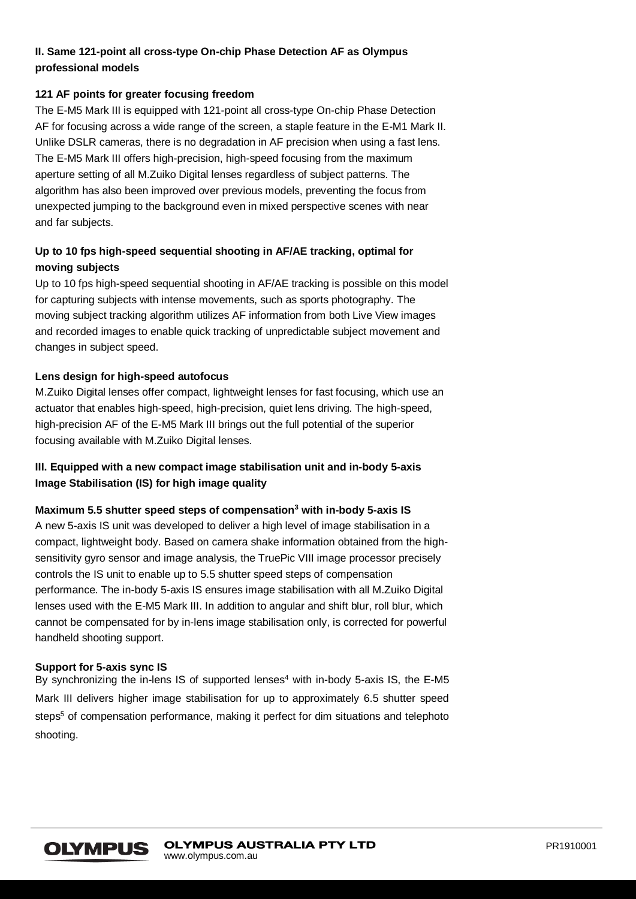# **II. Same 121-point all cross-type On-chip Phase Detection AF as Olympus professional models**

# **121 AF points for greater focusing freedom**

The E-M5 Mark III is equipped with 121-point all cross-type On-chip Phase Detection AF for focusing across a wide range of the screen, a staple feature in the E-M1 Mark II. Unlike DSLR cameras, there is no degradation in AF precision when using a fast lens. The E-M5 Mark III offers high-precision, high-speed focusing from the maximum aperture setting of all M.Zuiko Digital lenses regardless of subject patterns. The algorithm has also been improved over previous models, preventing the focus from unexpected jumping to the background even in mixed perspective scenes with near and far subjects.

# **Up to 10 fps high-speed sequential shooting in AF/AE tracking, optimal for moving subjects**

Up to 10 fps high-speed sequential shooting in AF/AE tracking is possible on this model for capturing subjects with intense movements, such as sports photography. The moving subject tracking algorithm utilizes AF information from both Live View images and recorded images to enable quick tracking of unpredictable subject movement and changes in subject speed.

# **Lens design for high-speed autofocus**

M.Zuiko Digital lenses offer compact, lightweight lenses for fast focusing, which use an actuator that enables high-speed, high-precision, quiet lens driving. The high-speed, high-precision AF of the E-M5 Mark III brings out the full potential of the superior focusing available with M.Zuiko Digital lenses.

# **III. Equipped with a new compact image stabilisation unit and in-body 5-axis Image Stabilisation (IS) for high image quality**

### **Maximum 5.5 shutter speed steps of compensation<sup>3</sup> with in-body 5-axis IS**

A new 5-axis IS unit was developed to deliver a high level of image stabilisation in a compact, lightweight body. Based on camera shake information obtained from the highsensitivity gyro sensor and image analysis, the TruePic VIII image processor precisely controls the IS unit to enable up to 5.5 shutter speed steps of compensation performance. The in-body 5-axis IS ensures image stabilisation with all M.Zuiko Digital lenses used with the E-M5 Mark III. In addition to angular and shift blur, roll blur, which cannot be compensated for by in-lens image stabilisation only, is corrected for powerful handheld shooting support.

### **Support for 5-axis sync IS**

By synchronizing the in-lens IS of supported lenses<sup>4</sup> with in-body 5-axis IS, the  $E-M5$ Mark III delivers higher image stabilisation for up to approximately 6.5 shutter speed steps<sup>5</sup> of compensation performance, making it perfect for dim situations and telephoto shooting.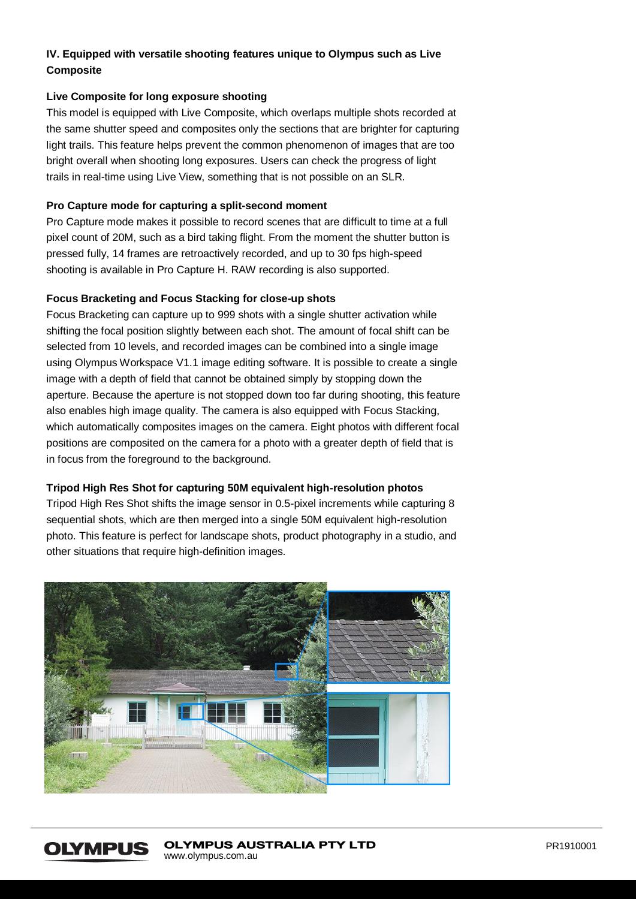# **IV. Equipped with versatile shooting features unique to Olympus such as Live Composite**

# **Live Composite for long exposure shooting**

This model is equipped with Live Composite, which overlaps multiple shots recorded at the same shutter speed and composites only the sections that are brighter for capturing light trails. This feature helps prevent the common phenomenon of images that are too bright overall when shooting long exposures. Users can check the progress of light trails in real-time using Live View, something that is not possible on an SLR.

# **Pro Capture mode for capturing a split-second moment**

Pro Capture mode makes it possible to record scenes that are difficult to time at a full pixel count of 20M, such as a bird taking flight. From the moment the shutter button is pressed fully, 14 frames are retroactively recorded, and up to 30 fps high-speed shooting is available in Pro Capture H. RAW recording is also supported.

# **Focus Bracketing and Focus Stacking for close-up shots**

Focus Bracketing can capture up to 999 shots with a single shutter activation while shifting the focal position slightly between each shot. The amount of focal shift can be selected from 10 levels, and recorded images can be combined into a single image using Olympus Workspace V1.1 image editing software. It is possible to create a single image with a depth of field that cannot be obtained simply by stopping down the aperture. Because the aperture is not stopped down too far during shooting, this feature also enables high image quality. The camera is also equipped with Focus Stacking, which automatically composites images on the camera. Eight photos with different focal positions are composited on the camera for a photo with a greater depth of field that is in focus from the foreground to the background.

### **Tripod High Res Shot for capturing 50M equivalent high-resolution photos**

Tripod High Res Shot shifts the image sensor in 0.5-pixel increments while capturing 8 sequential shots, which are then merged into a single 50M equivalent high-resolution photo. This feature is perfect for landscape shots, product photography in a studio, and other situations that require high-definition images.



#### **OLYMPUS AUSTRALIA PTY LTD OLYMPUS** www.olympus.com.au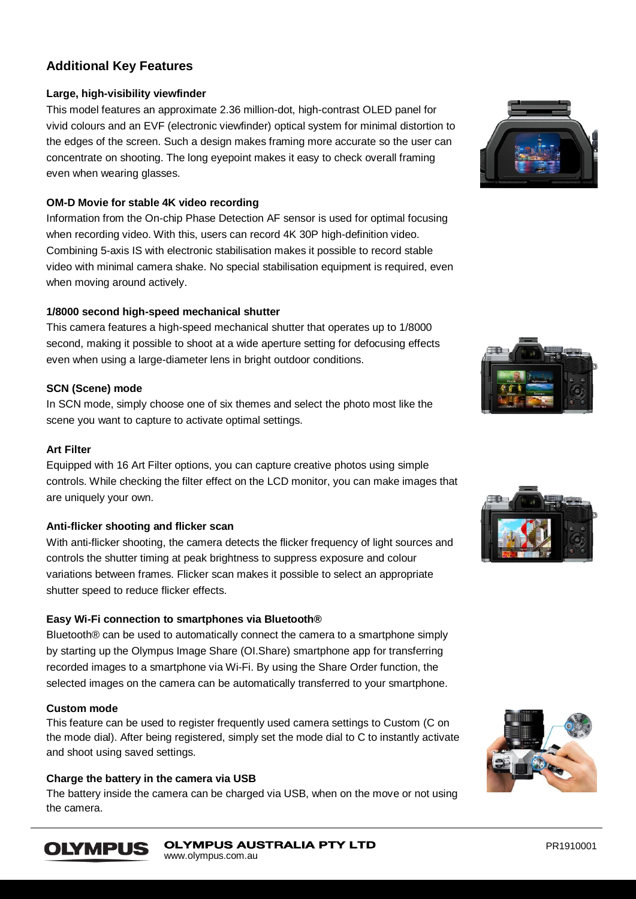# **Additional Key Features**

# **Large, high-visibility viewfinder**

This model features an approximate 2.36 million-dot, high-contrast OLED panel for vivid colours and an EVF (electronic viewfinder) optical system for minimal distortion to the edges of the screen. Such a design makes framing more accurate so the user can concentrate on shooting. The long eyepoint makes it easy to check overall framing even when wearing glasses.

# **OM-D Movie for stable 4K video recording**

Information from the On-chip Phase Detection AF sensor is used for optimal focusing when recording video. With this, users can record 4K 30P high-definition video. Combining 5-axis IS with electronic stabilisation makes it possible to record stable video with minimal camera shake. No special stabilisation equipment is required, even when moving around actively.

# **1/8000 second high-speed mechanical shutter**

This camera features a high-speed mechanical shutter that operates up to 1/8000 second, making it possible to shoot at a wide aperture setting for defocusing effects even when using a large-diameter lens in bright outdoor conditions.

# **SCN (Scene) mode**

In SCN mode, simply choose one of six themes and select the photo most like the scene you want to capture to activate optimal settings.

# **Art Filter**

Equipped with 16 Art Filter options, you can capture creative photos using simple controls. While checking the filter effect on the LCD monitor, you can make images that are uniquely your own.

### **Anti-flicker shooting and flicker scan**

With anti-flicker shooting, the camera detects the flicker frequency of light sources and controls the shutter timing at peak brightness to suppress exposure and colour variations between frames. Flicker scan makes it possible to select an appropriate shutter speed to reduce flicker effects.

# **Easy Wi-Fi connection to smartphones via Bluetooth®**

Bluetooth® can be used to automatically connect the camera to a smartphone simply by starting up the Olympus Image Share (OI.Share) smartphone app for transferring recorded images to a smartphone via Wi-Fi. By using the Share Order function, the selected images on the camera can be automatically transferred to your smartphone.

# **Custom mode**

**OLYMPUS** 

This feature can be used to register frequently used camera settings to Custom (C on the mode dial). After being registered, simply set the mode dial to C to instantly activate and shoot using saved settings.

### **Charge the battery in the camera via USB**

The battery inside the camera can be charged via USB, when on the move or not using the camera.







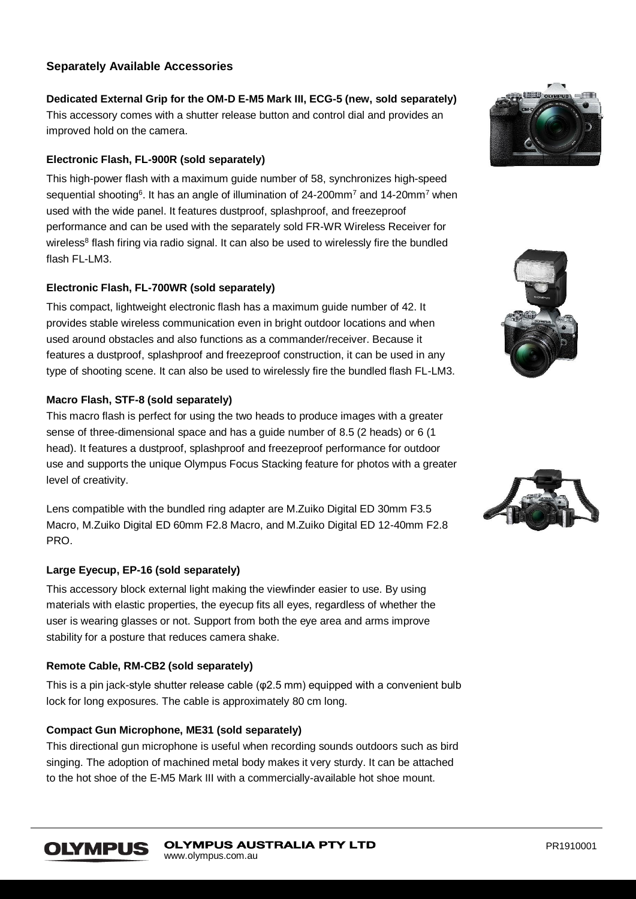# **Separately Available Accessories**

**Dedicated External Grip for the OM-D E-M5 Mark III, ECG-5 (new, sold separately)** This accessory comes with a shutter release button and control dial and provides an improved hold on the camera.

# **Electronic Flash, FL-900R (sold separately)**

This high-power flash with a maximum guide number of 58, synchronizes high-speed sequential shooting<sup>6</sup>. It has an angle of illumination of 24-200mm<sup>7</sup> and 14-20mm<sup>7</sup> when used with the wide panel. It features dustproof, splashproof, and freezeproof performance and can be used with the separately sold FR-WR Wireless Receiver for wireless<sup>8</sup> flash firing via radio signal. It can also be used to wirelessly fire the bundled flash  $FI$ -LM3.

# **Electronic Flash, FL-700WR (sold separately)**

This compact, lightweight electronic flash has a maximum guide number of 42. It provides stable wireless communication even in bright outdoor locations and when used around obstacles and also functions as a commander/receiver. Because it features a dustproof, splashproof and freezeproof construction, it can be used in any type of shooting scene. It can also be used to wirelessly fire the bundled flash FL-LM3.

# **Macro Flash, STF-8 (sold separately)**

This macro flash is perfect for using the two heads to produce images with a greater sense of three-dimensional space and has a guide number of 8.5 (2 heads) or 6 (1 head). It features a dustproof, splashproof and freezeproof performance for outdoor use and supports the unique Olympus Focus Stacking feature for photos with a greater level of creativity.

Lens compatible with the bundled ring adapter are M.Zuiko Digital ED 30mm F3.5 Macro, M.Zuiko Digital ED 60mm F2.8 Macro, and M.Zuiko Digital ED 12-40mm F2.8 PRO.

### **Large Eyecup, EP-16 (sold separately)**

This accessory block external light making the viewfinder easier to use. By using materials with elastic properties, the eyecup fits all eyes, regardless of whether the user is wearing glasses or not. Support from both the eye area and arms improve stability for a posture that reduces camera shake.

### **Remote Cable, RM-CB2 (sold separately)**

This is a pin jack-style shutter release cable (φ2.5 mm) equipped with a convenient bulb lock for long exposures. The cable is approximately 80 cm long.

# **Compact Gun Microphone, ME31 (sold separately)**

This directional gun microphone is useful when recording sounds outdoors such as bird singing. The adoption of machined metal body makes it very sturdy. It can be attached to the hot shoe of the E-M5 Mark III with a commercially-available hot shoe mount.





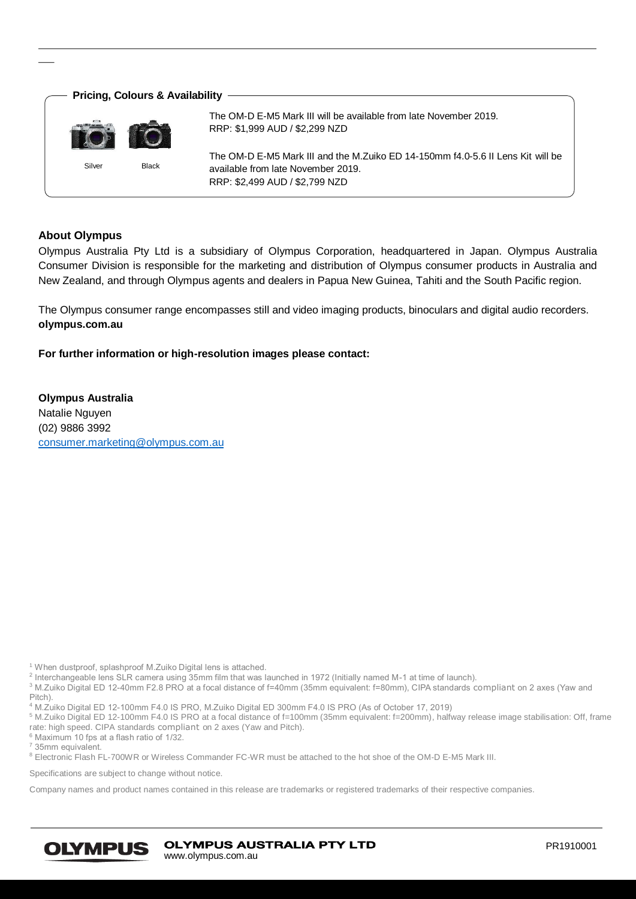

# **About Olympus**

Olympus Australia Pty Ltd is a subsidiary of Olympus Corporation, headquartered in Japan. Olympus Australia Consumer Division is responsible for the marketing and distribution of Olympus consumer products in Australia and New Zealand, and through Olympus agents and dealers in Papua New Guinea, Tahiti and the South Pacific region.

The Olympus consumer range encompasses still and video imaging products, binoculars and digital audio recorders. **olympus.com.au**

**For further information or high-resolution images please contact:**

**Olympus Australia** Natalie Nguyen (02) 9886 3992 [consumer.marketing@olympus.com.au](mailto:consumer.marketing@olympus.com.au)

<sup>1</sup> When dustproof, splashproof M.Zuiko Digital lens is attached.

<sup>2</sup> Interchangeable lens SLR camera using 35mm film that was launched in 1972 (Initially named M-1 at time of launch). <sup>3</sup> M.Zuiko Digital ED 12-40mm F2.8 PRO at a focal distance of f=40mm (35mm equivalent: f=80mm), CIPA standards compliant on 2 axes (Yaw and

Pitch).

<sup>4</sup> M.Zuiko Digital ED 12-100mm F4.0 IS PRO, M.Zuiko Digital ED 300mm F4.0 IS PRO (As of October 17, 2019)

<sup>5</sup> M.Zuiko Digital ED 12-100mm F4.0 IS PRO at a focal distance of f=100mm (35mm equivalent: f=200mm), halfway release image stabilisation: Off, frame rate: high speed. CIPA standards compliant on 2 axes (Yaw and Pitch).

 $6$  Maximum 10 fps at a flash ratio of  $1/32$ .

<sup>7</sup> 35mm equivalent.

8 Electronic Flash FL-700WR or Wireless Commander FC-WR must be attached to the hot shoe of the OM-D E-M5 Mark III.

Specifications are subject to change without notice.

Company names and product names contained in this release are trademarks or registered trademarks of their respective companies.